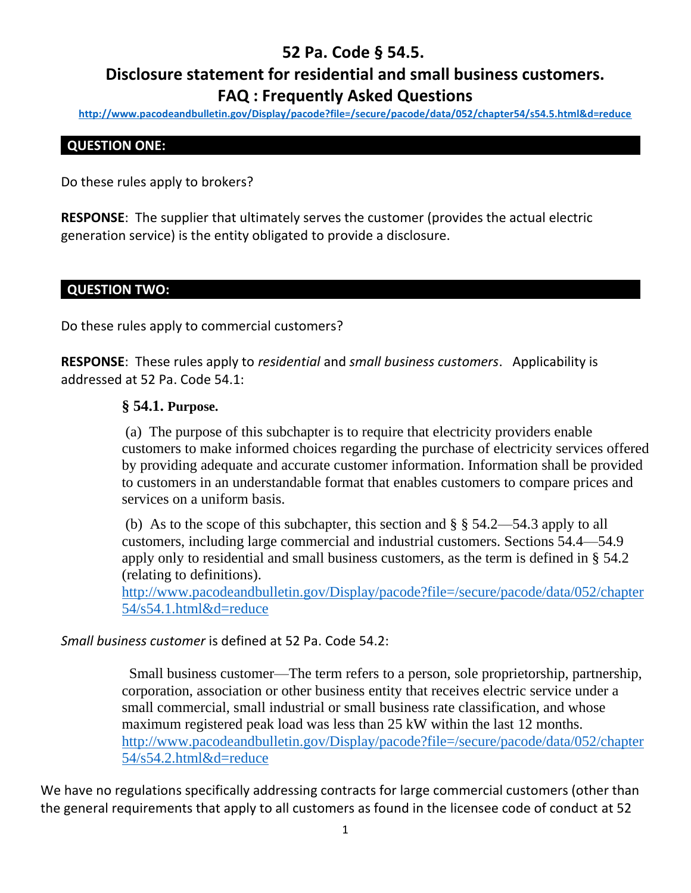# **52 Pa. Code § 54.5.**

# **Disclosure statement for residential and small business customers. FAQ : Frequently Asked Questions**

**<http://www.pacodeandbulletin.gov/Display/pacode?file=/secure/pacode/data/052/chapter54/s54.5.html&d=reduce>**

# **QUESTION ONE:**

Do these rules apply to brokers?

**RESPONSE**: The supplier that ultimately serves the customer (provides the actual electric generation service) is the entity obligated to provide a disclosure.

## **QUESTION TWO:**

Do these rules apply to commercial customers?

**RESPONSE**: These rules apply to *residential* and *small business customers*. Applicability is addressed at 52 Pa. Code 54.1:

## **§ 54.1. Purpose.**

(a) The purpose of this subchapter is to require that electricity providers enable customers to make informed choices regarding the purchase of electricity services offered by providing adequate and accurate customer information. Information shall be provided to customers in an understandable format that enables customers to compare prices and services on a uniform basis.

(b) As to the scope of this subchapter, this section and  $\S$   $\S$  54.2—54.3 apply to all customers, including large commercial and industrial customers. Sections 54.4—54.9 apply only to residential and small business customers, as the term is defined in § 54.2 (relating to definitions).

[http://www.pacodeandbulletin.gov/Display/pacode?file=/secure/pacode/data/052/chapter](http://www.pacodeandbulletin.gov/Display/pacode?file=/secure/pacode/data/052/chapter54/s54.1.html&d=reduce) [54/s54.1.html&d=reduce](http://www.pacodeandbulletin.gov/Display/pacode?file=/secure/pacode/data/052/chapter54/s54.1.html&d=reduce)

*Small business customer* is defined at 52 Pa. Code 54.2:

 Small business customer—The term refers to a person, sole proprietorship, partnership, corporation, association or other business entity that receives electric service under a small commercial, small industrial or small business rate classification, and whose maximum registered peak load was less than 25 kW within the last 12 months. [http://www.pacodeandbulletin.gov/Display/pacode?file=/secure/pacode/data/052/chapter](http://www.pacodeandbulletin.gov/Display/pacode?file=/secure/pacode/data/052/chapter54/s54.2.html&d=reduce) [54/s54.2.html&d=reduce](http://www.pacodeandbulletin.gov/Display/pacode?file=/secure/pacode/data/052/chapter54/s54.2.html&d=reduce)

We have no regulations specifically addressing contracts for large commercial customers (other than the general requirements that apply to all customers as found in the licensee code of conduct at 52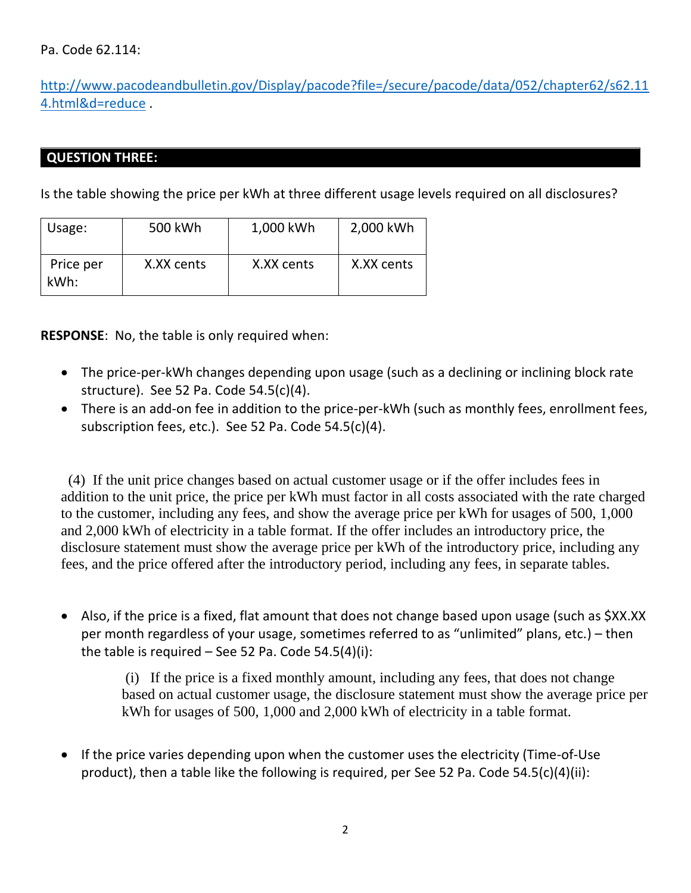# Pa. Code 62.114:

[http://www.pacodeandbulletin.gov/Display/pacode?file=/secure/pacode/data/052/chapter62/s62.11](https://gcc01.safelinks.protection.outlook.com/?url=http%3A%2F%2Fwww.pacodeandbulletin.gov%2FDisplay%2Fpacode%3Ffile%3D%2Fsecure%2Fpacode%2Fdata%2F052%2Fchapter62%2Fs62.114.html%26d%3Dreduce&data=02%7C01%7CDMUMFORD%40pa.gov%7Ceb854360833f407829bc08d86156e2ff%7C418e284101284dd59b6c47fc5a9a1bde%7C0%7C0%7C637366373574706034&sdata=A3K4EUm8EeS%2FvE6zkxA76Lbnkuhpj8CBkxbV%2BhsJzok%3D&reserved=0) [4.html&d=reduce](https://gcc01.safelinks.protection.outlook.com/?url=http%3A%2F%2Fwww.pacodeandbulletin.gov%2FDisplay%2Fpacode%3Ffile%3D%2Fsecure%2Fpacode%2Fdata%2F052%2Fchapter62%2Fs62.114.html%26d%3Dreduce&data=02%7C01%7CDMUMFORD%40pa.gov%7Ceb854360833f407829bc08d86156e2ff%7C418e284101284dd59b6c47fc5a9a1bde%7C0%7C0%7C637366373574706034&sdata=A3K4EUm8EeS%2FvE6zkxA76Lbnkuhpj8CBkxbV%2BhsJzok%3D&reserved=0) .

# **QUESTION THREE:**

Is the table showing the price per kWh at three different usage levels required on all disclosures?

| Usage:            | 500 kWh    | 1,000 kWh  | 2,000 kWh  |
|-------------------|------------|------------|------------|
| Price per<br>kWh: | X.XX cents | X.XX cents | X.XX cents |

**RESPONSE**: No, the table is only required when:

- The price-per-kWh changes depending upon usage (such as a declining or inclining block rate structure). See 52 Pa. Code 54.5(c)(4).
- There is an add-on fee in addition to the price-per-kWh (such as monthly fees, enrollment fees, subscription fees, etc.). See 52 Pa. Code 54.5(c)(4).

 (4) If the unit price changes based on actual customer usage or if the offer includes fees in addition to the unit price, the price per kWh must factor in all costs associated with the rate charged to the customer, including any fees, and show the average price per kWh for usages of 500, 1,000 and 2,000 kWh of electricity in a table format. If the offer includes an introductory price, the disclosure statement must show the average price per kWh of the introductory price, including any fees, and the price offered after the introductory period, including any fees, in separate tables.

• Also, if the price is a fixed, flat amount that does not change based upon usage (such as \$XX.XX per month regardless of your usage, sometimes referred to as "unlimited" plans, etc.) – then the table is required  $-$  See 52 Pa. Code 54.5(4)(i):

> (i) If the price is a fixed monthly amount, including any fees, that does not change based on actual customer usage, the disclosure statement must show the average price per kWh for usages of 500, 1,000 and 2,000 kWh of electricity in a table format.

• If the price varies depending upon when the customer uses the electricity (Time-of-Use product), then a table like the following is required, per See 52 Pa. Code 54.5(c)(4)(ii):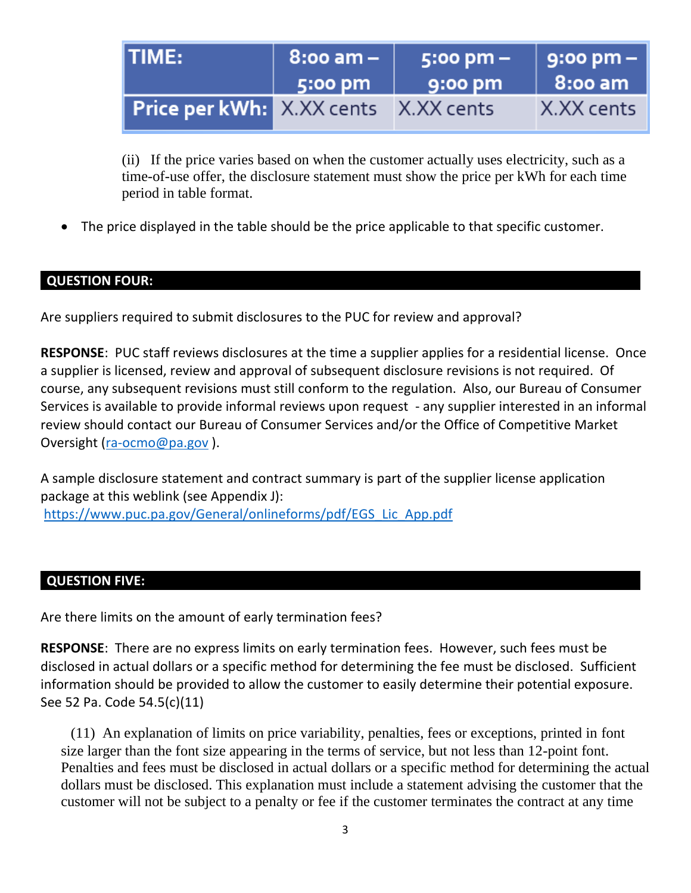| <b>ITIME:</b>                               | $\parallel$ 8:00 am – $\parallel$ | $5:00 \text{ pm} -$ | 9:00 pm –      |
|---------------------------------------------|-----------------------------------|---------------------|----------------|
|                                             | 5:00 pm                           | $\sqrt{9:}$ 00 pm   | <b>8:00 am</b> |
| <b>Price per kWh:</b> X.XX cents X.XX cents |                                   |                     | X.XX cents     |

(ii) If the price varies based on when the customer actually uses electricity, such as a time-of-use offer, the disclosure statement must show the price per kWh for each time period in table format.

• The price displayed in the table should be the price applicable to that specific customer.

# **QUESTION FOUR:**

Are suppliers required to submit disclosures to the PUC for review and approval?

**RESPONSE**: PUC staff reviews disclosures at the time a supplier applies for a residential license. Once a supplier is licensed, review and approval of subsequent disclosure revisions is not required. Of course, any subsequent revisions must still conform to the regulation. Also, our Bureau of Consumer Services is available to provide informal reviews upon request - any supplier interested in an informal review should contact our Bureau of Consumer Services and/or the Office of Competitive Market Oversight [\(ra-ocmo@pa.gov](mailto:ra-ocmo@pa.gov) ).

A sample disclosure statement and contract summary is part of the supplier license application package at this weblink (see Appendix J): [https://www.puc.pa.gov/General/onlineforms/pdf/EGS\\_Lic\\_App.pdf](https://www.puc.pa.gov/General/onlineforms/pdf/EGS_Lic_App.pdf)

# **QUESTION FIVE:**

Are there limits on the amount of early termination fees?

**RESPONSE**: There are no express limits on early termination fees. However, such fees must be disclosed in actual dollars or a specific method for determining the fee must be disclosed. Sufficient information should be provided to allow the customer to easily determine their potential exposure. See 52 Pa. Code 54.5(c)(11)

 (11) An explanation of limits on price variability, penalties, fees or exceptions, printed in font size larger than the font size appearing in the terms of service, but not less than 12-point font. Penalties and fees must be disclosed in actual dollars or a specific method for determining the actual dollars must be disclosed. This explanation must include a statement advising the customer that the customer will not be subject to a penalty or fee if the customer terminates the contract at any time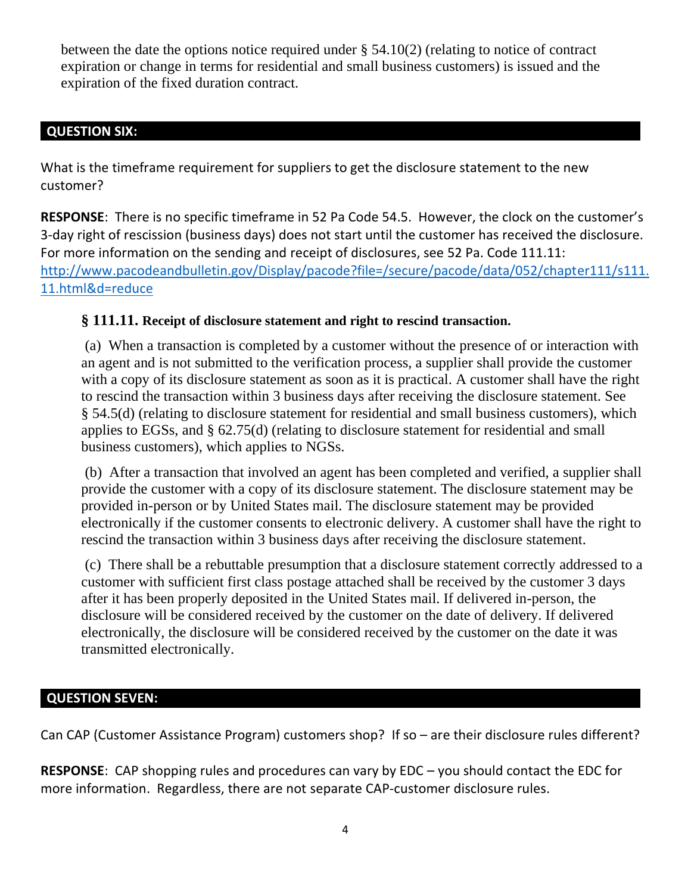between the date the options notice required under § 54.10(2) (relating to notice of contract expiration or change in terms for residential and small business customers) is issued and the expiration of the fixed duration contract.

# **QUESTION SIX:**

What is the timeframe requirement for suppliers to get the disclosure statement to the new customer?

**RESPONSE**: There is no specific timeframe in 52 Pa Code 54.5. However, the clock on the customer's 3-day right of rescission (business days) does not start until the customer has received the disclosure. For more information on the sending and receipt of disclosures, see 52 Pa. Code 111.11: [http://www.pacodeandbulletin.gov/Display/pacode?file=/secure/pacode/data/052/chapter111/s111.](http://www.pacodeandbulletin.gov/Display/pacode?file=/secure/pacode/data/052/chapter111/s111.11.html&d=reduce) [11.html&d=reduce](http://www.pacodeandbulletin.gov/Display/pacode?file=/secure/pacode/data/052/chapter111/s111.11.html&d=reduce)

# **§ 111.11. Receipt of disclosure statement and right to rescind transaction.**

(a) When a transaction is completed by a customer without the presence of or interaction with an agent and is not submitted to the verification process, a supplier shall provide the customer with a copy of its disclosure statement as soon as it is practical. A customer shall have the right to rescind the transaction within 3 business days after receiving the disclosure statement. See § 54.5(d) (relating to disclosure statement for residential and small business customers), which applies to EGSs, and § 62.75(d) (relating to disclosure statement for residential and small business customers), which applies to NGSs.

(b) After a transaction that involved an agent has been completed and verified, a supplier shall provide the customer with a copy of its disclosure statement. The disclosure statement may be provided in-person or by United States mail. The disclosure statement may be provided electronically if the customer consents to electronic delivery. A customer shall have the right to rescind the transaction within 3 business days after receiving the disclosure statement.

(c) There shall be a rebuttable presumption that a disclosure statement correctly addressed to a customer with sufficient first class postage attached shall be received by the customer 3 days after it has been properly deposited in the United States mail. If delivered in-person, the disclosure will be considered received by the customer on the date of delivery. If delivered electronically, the disclosure will be considered received by the customer on the date it was transmitted electronically.

# **QUESTION SEVEN:**

Can CAP (Customer Assistance Program) customers shop? If so – are their disclosure rules different?

**RESPONSE**: CAP shopping rules and procedures can vary by EDC – you should contact the EDC for more information. Regardless, there are not separate CAP-customer disclosure rules.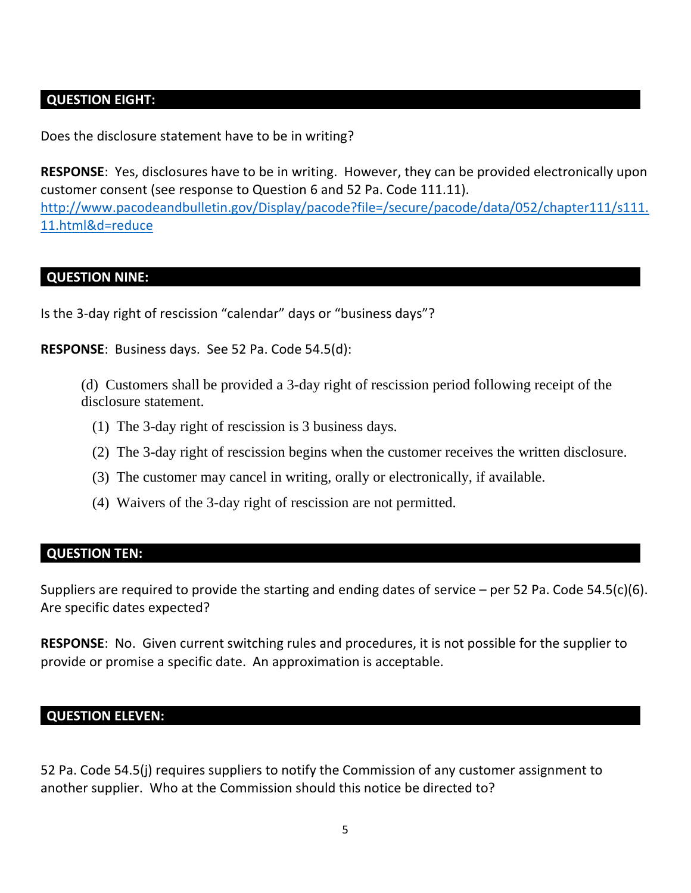# **QUESTION EIGHT:**

Does the disclosure statement have to be in writing?

**RESPONSE**: Yes, disclosures have to be in writing. However, they can be provided electronically upon customer consent (see response to Question 6 and 52 Pa. Code 111.11). [http://www.pacodeandbulletin.gov/Display/pacode?file=/secure/pacode/data/052/chapter111/s111.](http://www.pacodeandbulletin.gov/Display/pacode?file=/secure/pacode/data/052/chapter111/s111.11.html&d=reduce) [11.html&d=reduce](http://www.pacodeandbulletin.gov/Display/pacode?file=/secure/pacode/data/052/chapter111/s111.11.html&d=reduce)

#### **QUESTION NINE:**

Is the 3-day right of rescission "calendar" days or "business days"?

**RESPONSE**: Business days. See 52 Pa. Code 54.5(d):

(d) Customers shall be provided a 3-day right of rescission period following receipt of the disclosure statement.

- (1) The 3-day right of rescission is 3 business days.
- (2) The 3-day right of rescission begins when the customer receives the written disclosure.
- (3) The customer may cancel in writing, orally or electronically, if available.
- (4) Waivers of the 3-day right of rescission are not permitted.

#### **QUESTION TEN:**

Suppliers are required to provide the starting and ending dates of service – per 52 Pa. Code 54.5(c)(6). Are specific dates expected?

**RESPONSE**: No. Given current switching rules and procedures, it is not possible for the supplier to provide or promise a specific date. An approximation is acceptable.

#### **QUESTION ELEVEN:**

52 Pa. Code 54.5(j) requires suppliers to notify the Commission of any customer assignment to another supplier. Who at the Commission should this notice be directed to?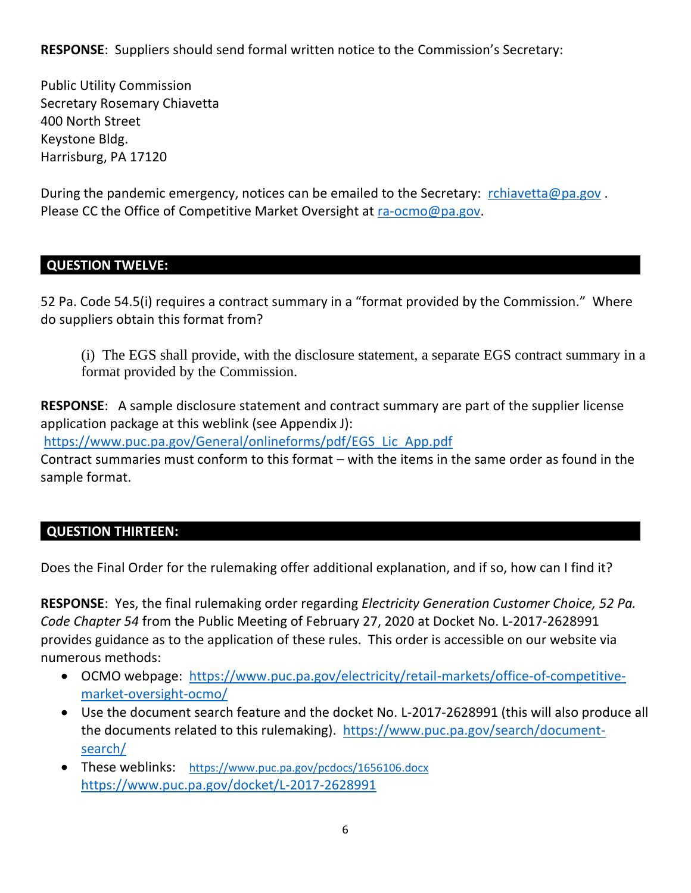**RESPONSE**: Suppliers should send formal written notice to the Commission's Secretary:

Public Utility Commission Secretary Rosemary Chiavetta 400 North Street Keystone Bldg. Harrisburg, PA 17120

During the pandemic emergency, notices can be emailed to the Secretary: [rchiavetta@pa.gov](mailto:rchiavetta@pa.gov) . Please CC the Office of Competitive Market Oversight at [ra-ocmo@pa.gov.](mailto:ra-ocmo@pa.gov)

## **QUESTION TWELVE:**

52 Pa. Code 54.5(i) requires a contract summary in a "format provided by the Commission." Where do suppliers obtain this format from?

(i) The EGS shall provide, with the disclosure statement, a separate EGS contract summary in a format provided by the Commission.

**RESPONSE**: A sample disclosure statement and contract summary are part of the supplier license application package at this weblink (see Appendix J):

[https://www.puc.pa.gov/General/onlineforms/pdf/EGS\\_Lic\\_App.pdf](https://www.puc.pa.gov/General/onlineforms/pdf/EGS_Lic_App.pdf)

Contract summaries must conform to this format – with the items in the same order as found in the sample format.

# **QUESTION THIRTEEN:**

Does the Final Order for the rulemaking offer additional explanation, and if so, how can I find it?

**RESPONSE**: Yes, the final rulemaking order regarding *Electricity Generation Customer Choice, 52 Pa. Code Chapter 54* from the Public Meeting of February 27, 2020 at Docket No. L-2017-2628991 provides guidance as to the application of these rules. This order is accessible on our website via numerous methods:

- OCMO webpage: [https://www.puc.pa.gov/electricity/retail-markets/office-of-competitive](https://www.puc.pa.gov/electricity/retail-markets/office-of-competitive-market-oversight-ocmo/)[market-oversight-ocmo/](https://www.puc.pa.gov/electricity/retail-markets/office-of-competitive-market-oversight-ocmo/)
- Use the document search feature and the docket No. L-2017-2628991 (this will also produce all the documents related to this rulemaking). [https://www.puc.pa.gov/search/document](https://www.puc.pa.gov/search/document-search/)[search/](https://www.puc.pa.gov/search/document-search/)
- These weblinks: <https://www.puc.pa.gov/pcdocs/1656106.docx> <https://www.puc.pa.gov/docket/L-2017-2628991>